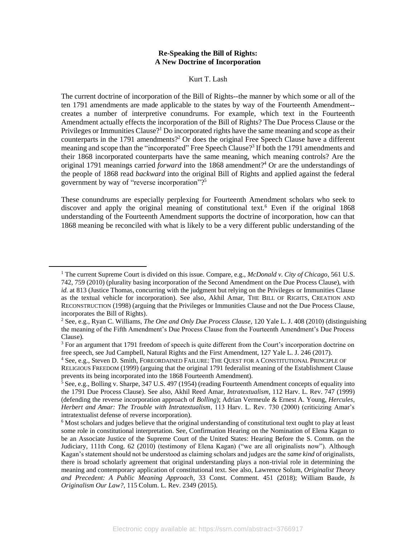#### **Re-Speaking the Bill of Rights: A New Doctrine of Incorporation**

Kurt T. Lash

 ten 1791 amendments are made applicable to the states by way of the Fourteenth Amendment-- creates a number of interpretive conundrums. For example, which text in the Fourteenth Amendment actually effects the incorporation of the Bill of Rights? The Due Process Clause or the Privileges or Immunities Clause?<sup>1</sup> Do incorporated rights have the same meaning and scope as their counterparts in the 1791 amendments?<sup>2</sup> Or does the original Free Speech Clause have a different their 1868 incorporated counterparts have the same meaning, which meaning controls? Are the original 1791 meanings carried *forward* into the 1868 amendment?4 Or are the understandings of the people of 1868 read *backward* into the original Bill of Rights and applied against the federal The current doctrine of incorporation of the Bill of Rights--the manner by which some or all of the meaning and scope than the "incorporated" Free Speech Clause?<sup>3</sup> If both the 1791 amendments and government by way of "reverse incorporation"?5

discover and apply the original meaning of constitutional text.<sup>6</sup> Even if the original 1868 understanding of the Fourteenth Amendment supports the doctrine of incorporation, how can that 1868 meaning be reconciled with what is likely to be a very different public understanding of the These conundrums are especially perplexing for Fourteenth Amendment scholars who seek to

 *id.* at 813 (Justice Thomas, concurring with the judgment but relying on the Privileges or Immunities Clause as the textual vehicle for incorporation). See also, Akhil Amar, THE BILL OF RIGHTS, CREATION AND 1 The current Supreme Court is divided on this issue. Compare, e.g., *McDonald v. City of Chicago*, 561 U.S. 742, 759 (2010) (plurality basing incorporation of the Second Amendment on the Due Process Clause), with RECONSTRUCTION (1998) (arguing that the Privileges or Immunities Clause and not the Due Process Clause, incorporates the Bill of Rights).<br><sup>2</sup> See, e.g., Ryan C. Williams, *The One and Only Due Process Clause*, 120 Yale L. J. 408 (2010) (distinguishing

the meaning of the Fifth Amendment's Due Process Clause from the Fourteenth Amendment's Due Process Clause).

<sup>&</sup>lt;sup>3</sup> For an argument that 1791 freedom of speech is quite different from the Court's incorporation doctrine on free speech, see Jud Campbell, Natural Rights and the First Amendment, 127 Yale L. J. 246 (2017).

<sup>4</sup> See, e.g., Steven D. Smith, FOREORDAINED FAILURE: THE QUEST FOR A CONSTITUTIONAL PRINCIPLE OF RELIGIOUS FREEDOM (1999) (arguing that the original 1791 federalist meaning of the Establishment Clause

prevents its being incorporated into the 1868 Fourteenth Amendment).<br><sup>5</sup> See, e.g., Bolling v. Sharpe, 347 U.S. 497 (1954) (reading Fourteenth Amendment concepts of equality into the 1791 Due Process Clause). See also, Akhil Reed Amar, *Intratextualism*, 112 Harv. L. Rev. 747 (1999) (defending the reverse incorporation approach of *Bolling*); Adrian Vermeule & Ernest A. Young, *Hercules, Herbert and Amar: The Trouble with Intratextualism*, 113 Harv. L. Rev. 730 (2000) (criticizing Amar's intratextualist defense of reverse incorporation).

 $6$  Most scholars and judges believe that the original understanding of constitutional text ought to play at least some role in constitutional interpretation. See, Confirmation Hearing on the Nomination of Elena Kagan to be an Associate Justice of the Supreme Court of the United States: Hearing Before the S. Comm. on the Judiciary, 111th Cong. 62 (2010) (testimony of Elena Kagan) ("we are all originalists now"). Although Kagan's statement should not be understood as claiming scholars and judges are the *same kind* of originalists, there is broad scholarly agreement that original understanding plays a non-trivial role in determining the  *and Precedent: A Public Meaning Approach*, 33 Const. Comment. 451 (2018); William Baude, *Is*  meaning and contemporary application of constitutional text. See also, Lawrence Solum, *Originalist Theory Originalism Our Law?,* 115 Colum. L. Rev. 2349 (2015).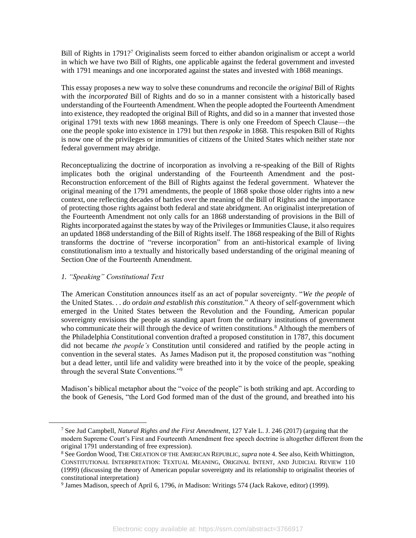Bill of Rights in 1791?<sup>7</sup> Originalists seem forced to either abandon originalism or accept a world in which we have two Bill of Rights, one applicable against the federal government and invested with 1791 meanings and one incorporated against the states and invested with 1868 meanings.

 This essay proposes a new way to solve these conundrums and reconcile the *original* Bill of Rights with the *incorporated* Bill of Rights and do so in a manner consistent with a historically based understanding of the Fourteenth Amendment. When the people adopted the Fourteenth Amendment into existence, they readopted the original Bill of Rights, and did so in a manner that invested those original 1791 texts with new 1868 meanings. There is only one Freedom of Speech Clause—the is now one of the privileges or immunities of citizens of the United States which neither state nor one the people spoke into existence in 1791 but then *respoke* in 1868. This respoken Bill of Rights federal government may abridge.

 Reconceptualizing the doctrine of incorporation as involving a re-speaking of the Bill of Rights implicates both the original understanding of the Fourteenth Amendment and the post- Reconstruction enforcement of the Bill of Rights against the federal government. Whatever the original meaning of the 1791 amendments, the people of 1868 spoke those older rights into a new context, one reflecting decades of battles over the meaning of the Bill of Rights and the importance of protecting those rights against both federal and state abridgment. An originalist interpretation of the Fourteenth Amendment not only calls for an 1868 understanding of provisions in the Bill of Rights incorporated against the states by way of the Privileges or Immunities Clause, it also requires an updated 1868 understanding of the Bill of Rights itself. The 1868 respeaking of the Bill of Rights transforms the doctrine of "reverse incorporation" from an anti-historical example of living constitutionalism into a textually and historically based understanding of the original meaning of Section One of the Fourteenth Amendment.

# *1. "Speaking" Constitutional Text*

 The American Constitution announces itself as an act of popular sovereignty. "*We the people* of the United States. . . *do ordain and establish this constitution*." A theory of self-government which sovereignty envisions the people as standing apart from the ordinary institutions of government who communicate their will through the device of written constitutions.<sup>8</sup> Although the members of did not became *the people's* Constitution until considered and ratified by the people acting in but a dead letter, until life and validity were breathed into it by the voice of the people, speaking emerged in the United States between the Revolution and the Founding, American popular the Philadelphia Constitutional convention drafted a proposed constitution in 1787, this document convention in the several states. As James Madison put it, the proposed constitution was "nothing through the several State Conventions."9

 the book of Genesis, "the Lord God formed man of the dust of the ground, and breathed into his Madison's biblical metaphor about the "voice of the people" is both striking and apt. According to

original 1791 understanding of free expression).<br><sup>8</sup> See Gordon Wood, THE CREATION OF THE AMERICAN REPUBLIC, *supra* note 4. See also, Keith Whittington, 7 See Jud Campbell, *Natural Rights and the First Amendment*, 127 Yale L. J. 246 (2017) (arguing that the modern Supreme Court's First and Fourteenth Amendment free speech doctrine is altogether different from the

 (1999) (discussing the theory of American popular sovereignty and its relationship to originalist theories of CONSTITUTIONAL INTERPRETATION: TEXTUAL MEANING, ORIGINAL INTENT, AND JUDICIAL REVIEW 110 constitutional interpretation) 9 James Madison, speech of April 6, 1796, *in* Madison: Writings 574 (Jack Rakove, editor) (1999).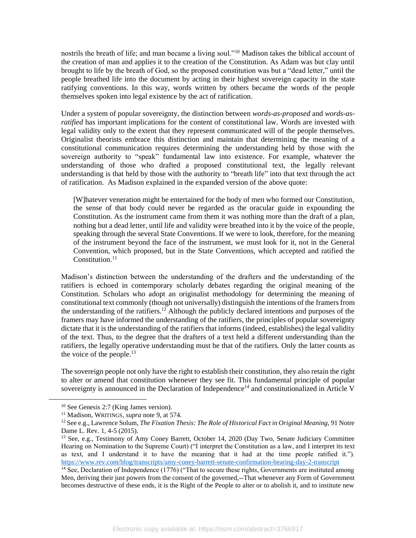nostrils the breath of life; and man became a living soul."<sup>10</sup> Madison takes the biblical account of the creation of man and applies it to the creation of the Constitution. As Adam was but clay until people breathed life into the document by acting in their highest sovereign capacity in the state ratifying conventions. In this way, words written by others became the words of the people brought to life by the breath of God, so the proposed constitution was but a "dead letter," until the themselves spoken into legal existence by the act of ratification.

 *ratified* has important implications for the content of constitutional law. Words are invested with legal validity only to the extent that they represent communicated will of the people themselves. Originalist theorists embrace this distinction and maintain that determining the meaning of a constitutional communication requires determining the understanding held by those with the sovereign authority to "speak" fundamental law into existence. For example, whatever the understanding of those who drafted a proposed constitutional text, the legally relevant understanding is that held by those with the authority to "breath life" into that text through the act Under a system of popular sovereignty, the distinction between *words*-*as-proposed* and *words*-*as*of ratification. As Madison explained in the expanded version of the above quote:

 [W]hatever veneration might be entertained for the body of men who formed our Constitution, the sense of that body could never be regarded as the oracular guide in expounding the Constitution. As the instrument came from them it was nothing more than the draft of a plan, nothing but a dead letter, until life and validity were breathed into it by the voice of the people, of the instrument beyond the face of the instrument, we must look for it, not in the General Convention, which proposed, but in the State Conventions, which accepted and ratified the speaking through the several State Conventions. If we were to look, therefore, for the meaning Constitution<sup> $11$ </sup>

 Madison's distinction between the understanding of the drafters and the understanding of the ratifiers is echoed in contemporary scholarly debates regarding the original meaning of the Constitution. Scholars who adopt an originalist methodology for determining the meaning of constitutional text commonly (though not universally) distinguish the intentions of the framers from the understanding of the ratifiers.<sup>12</sup> Although the publicly declared intentions and purposes of the framers may have informed the understanding of the ratifiers, the principles of popular sovereignty dictate that it is the understanding of the ratifiers that informs (indeed, establishes) the legal validity of the text. Thus, to the degree that the drafters of a text held a different understanding than the ratifiers, the legally operative understanding must be that of the ratifiers. Only the latter counts as the voice of the people. $^{13}$ 

 The sovereign people not only have the right to establish their constitution, they also retain the right to alter or amend that constitution whenever they see fit. This fundamental principle of popular sovereignty is announced in the Declaration of Independence<sup>14</sup> and constitutionalized in Article V

<sup>&</sup>lt;sup>10</sup> See Genesis 2:7 (King James version).<br><sup>11</sup> Madison, WRITINGS, *supra* note 9, at 574.<br><sup>12</sup> See e.g., Lawrence Solum, *The Fixation Thesis: The Role of Historical Fact in Original Meaning*, 91 Notre Dame L. Rev. 1, 4-5 (2015).<br><sup>13</sup> See, e.g., Testimony of Amy Coney Barrett, October 14, 2020 (Day Two, Senate Judiciary Committee

 Hearing on Nomination to the Supreme Court) ("I interpret the Constitution as a law, and I interpret its text as text, and I understand it to have the meaning that it had at the time people ratified it."). <https://www.rev.com/blog/transcripts/amy-coney-barrett-senate-confirmation-hearing-day-2-transcript><sup>14</sup> See, Declaration of Independence (1776) ("That to secure these rights, Governments are instituted among

 Men, deriving their just powers from the consent of the governed,--That whenever any Form of Government becomes destructive of these ends, it is the Right of the People to alter or to abolish it, and to institute new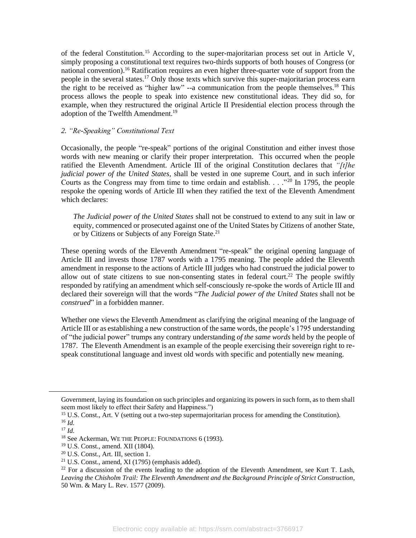of the federal Constitution.<sup>15</sup> According to the super-majoritarian process set out in Article V, national [convention\).](https://convention).16)<sup>16</sup> Ratification requires an even higher three-quarter vote of support from the people in the several states.<sup>17</sup> Only those texts which survive this super-majoritarian process earn the right to be received as "higher law"  $-$ a communication from the people themselves.<sup>18</sup> This process allows the people to speak into existence new constitutional ideas. They did so, for example, when they restructured the original Article II Presidential election process through the simply proposing a constitutional text requires two-thirds supports of both houses of Congress (or adoption of the Twelfth Amendment.<sup>19</sup>

# *2. "Re-Speaking" Constitutional Text*

 Occasionally, the people "re-speak" portions of the original Constitution and either invest those words with new meaning or clarify their proper interpretation. This occurred when the people ratified the Eleventh Amendment. Article III of the original Constitution declares that *"[t]he judicial power of the United States*, shall be vested in one supreme Court, and in such inferior Courts as the Congress may from time to time ordain and establish.  $\ldots$ <sup>20</sup> In 1795, the people respoke the opening words of Article III when they ratified the text of the Eleventh Amendment which declares:

 *The Judicial power of the United States* shall not be construed to extend to any suit in law or equity, commenced or prosecuted against one of the United States by Citizens of another State, or by Citizens or Subjects of any Foreign State.<sup>21</sup>

 These opening words of the Eleventh Amendment "re-speak" the original opening language of Article III and invests those 1787 words with a 1795 meaning. The people added the Eleventh amendment in response to the actions of Article III judges who had construed the judicial power to allow out of state citizens to sue non-consenting states in federal court.<sup>22</sup> The people swiftly responded by ratifying an amendment which self-consciously re-spoke the words of Article III and declared their sovereign will that the words "*The Judicial power of the United States* shall not be *construed*" in a forbidden manner.

 Article III or as establishing a new construction of the same words, the people's 1795 understanding of "the judicial power" trumps any contrary understanding *of the same words* held by the people of 1787. The Eleventh Amendment is an example of the people exercising their sovereign right to re-Whether one views the Eleventh Amendment as clarifying the original meaning of the language of speak constitutional language and invest old words with specific and potentially new meaning.

 Government, laying its foundation on such principles and organizing its powers in such form, as to them shall seem most likely to effect their Safety and Happiness.")<br><sup>15</sup> U.S. Const., Art. V (setting out a two-step supermajoritarian process for amending the Constitution).

<sup>&</sup>lt;sup>18</sup> See Ackerman, WE THE PEOPLE: FOUNDATIONS 6 (1993).

<sup>&</sup>lt;sup>15</sup> U.S. Const., Art. V (setting out a two-step supermajoritarian process for amending the Constitution).<br><sup>16</sup> Id.<br><sup>17</sup> Id.<br><sup>18</sup> See Ackerman, WE THE PEOPLE: FOUNDATIONS 6 (1993).<br><sup>19</sup> U.S. Const., amend. XII (1804).<br><sup>20</sup> *Leaving the Chisholm Trail: The Eleventh Amendment and the Background Principle of Strict Construction*, 50 Wm. & Mary L. Rev. 1577 (2009).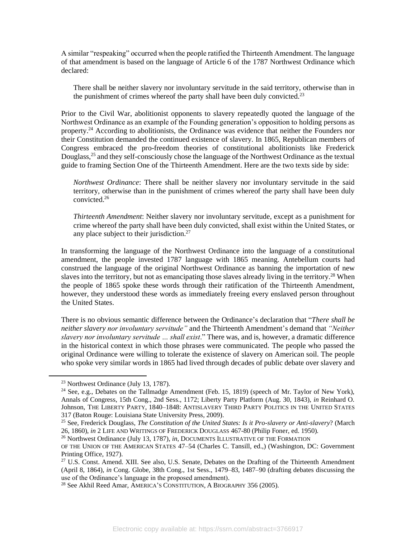A similar "respeaking" occurred when the people ratified the Thirteenth Amendment. The language of that amendment is based on the language of Article 6 of the 1787 Northwest Ordinance which declared:

 There shall be neither slavery nor involuntary servitude in the said territory, otherwise than in the punishment of crimes whereof the party shall have been duly convicted.<sup>23</sup>

 Prior to the Civil War, abolitionist opponents to slavery repeatedly quoted the language of the Northwest Ordinance as an example of the Founding generation's opposition to holding persons as [property.](https://property.24)<sup>24</sup> According to abolitionists, the Ordinance was evidence that neither the Founders nor their Constitution demanded the continued existence of slavery. In 1865, Republican members of Congress embraced the pro-freedom theories of constitutional abolitionists like Frederick Douglass,<sup>25</sup> and they self-consciously chose the language of the Northwest Ordinance as the textual guide to framing Section One of the Thirteenth Amendment. Here are the two texts side by side:

 *Northwest Ordinance*: There shall be neither slavery nor involuntary servitude in the said territory, otherwise than in the punishment of crimes whereof the party shall have been duly [convicted.26](https://convicted.26) 

 *Thirteenth Amendment*: Neither slavery nor involuntary servitude, except as a punishment for crime whereof the party shall have been duly convicted, shall exist within the United States, or any place subject to their jurisdiction. $27$ 

 In transforming the language of the Northwest Ordinance into the language of a constitutional construed the language of the original Northwest Ordinance as banning the importation of new slaves into the territory, but not as emancipating those slaves already living in the territory.<sup>28</sup> When the people of 1865 spoke these words through their ratification of the Thirteenth Amendment, amendment, the people invested 1787 language with 1865 meaning. Antebellum courts had however, they understood these words as immediately freeing every enslaved person throughout the United States.

 There is no obvious semantic difference between the Ordinance's declaration that "*There shall be slavery nor involuntary servitude … shall exist*." There was, and is, however, a dramatic difference in the historical context in which those phrases were communicated. The people who passed the original Ordinance were willing to tolerate the existence of slavery on American soil. The people who spoke very similar words in 1865 had lived through decades of public debate over slavery and *neither slavery nor involuntary servitude"* and the Thirteenth Amendment's demand that *"Neither* 

<sup>&</sup>lt;sup>23</sup> Northwest Ordinance (July 13, 1787).<br><sup>24</sup> See, e.g., Debates on the Tallmadge Amendment (Feb. 15, 1819) (speech of Mr. Taylor of New York), Annals of Congress, 15th Cong., 2nd Sess., 1172; Liberty Party Platform (Aug. 30, 1843), *in* Reinhard O. Johnson, THE LIBERTY PARTY, 1840–1848: ANTISLAVERY THIRD PARTY POLITICS IN THE UNITED STATES  317 (Baton Rouge: Louisiana State University Press, 2009). 25 See, Frederick Douglass, *The Constitution of the United States: Is it Pro-slavery or Anti-slavery*? (March

<sup>26, 1860),</sup> *in* 2 LIFE AND WRITINGS OF FREDERICK DOUGLASS 467-80 (Philip Foner, ed. 1950)*.* 

<sup>&</sup>lt;sup>26</sup> Northwest Ordinance (July 13, 1787), *in*, DOCUMENTS ILLUSTRATIVE OF THE FORMATION

 OF THE UNION OF THE AMERICAN STATES 47–54 (Charles C. Tansill, ed.,) (Washington, DC: Government Printing Office, 1927).<br><sup>27</sup> U.S. Const. Amend. XIII. See also, U.S. Senate, Debates on the Drafting of the Thirteenth Amendment

<sup>(</sup>April 8, 1864), *in* Cong. Globe, 38th Cong., 1st Sess., 1479–83, 1487–90 (drafting debates discussing the use of the Ordinance's language in the proposed amendment).<br><sup>28</sup> See Akhil Reed Amar, AMERICA'S CONSTITUTION, A BIOGRAPHY 356 (2005).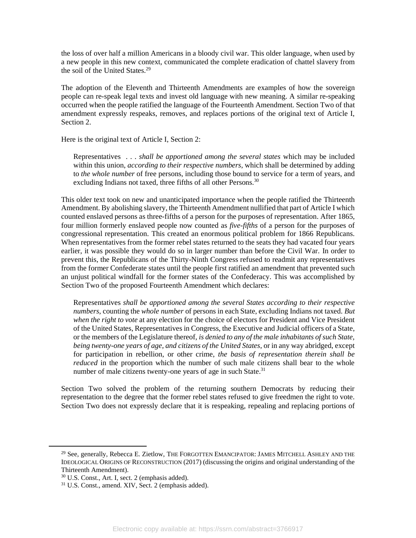a new people in this new context, communicated the complete eradication of chattel slavery from the loss of over half a million Americans in a bloody civil war. This older language, when used by the soil of the United States.<sup>29</sup>

 The adoption of the Eleventh and Thirteenth Amendments are examples of how the sovereign people can re-speak legal texts and invest old language with new meaning. A similar re-speaking occurred when the people ratified the language of the Fourteenth Amendment. Section Two of that amendment expressly respeaks, removes, and replaces portions of the original text of Article I, Section 2.

Here is the original text of Article I, Section 2:

 Representatives . . . *shall be apportioned among the several states* which may be included within this union, *according to their respective numbers*, which shall be determined by adding to *the whole number* of free persons, including those bound to service for a term of years, and excluding Indians not taxed, three fifths of all other Persons.<sup>30</sup>

 This older text took on new and unanticipated importance when the people ratified the Thirteenth Amendment. By abolishing slavery, the Thirteenth Amendment nullified that part of Article I which counted enslaved persons as three-fifths of a person for the purposes of representation. After 1865, four million formerly enslaved people now counted as *five-fifths* of a person for the purposes of congressional representation. This created an enormous political problem for 1866 Republicans. When representatives from the former rebel states returned to the seats they had vacated four years earlier, it was possible they would do so in larger number than before the Civil War. In order to prevent this, the Republicans of the Thirty-Ninth Congress refused to readmit any representatives from the former Confederate states until the people first ratified an amendment that prevented such an unjust political windfall for the former states of the Confederacy. This was accomplished by Section Two of the proposed Fourteenth Amendment which declares:

 Representatives *shall be apportioned among the several States according to their respective numbers*, counting the *whole number* of persons in each State, excluding Indians not taxed. *But when the right to vote* at any election for the choice of electors for President and Vice President of the United States, Representatives in Congress, the Executive and Judicial officers of a State, or the members of the Legislature thereof, *is denied to any of the male inhabitants of such State, being twenty-one years of age, and citizens of the United States*, or in any way abridged, except for participation in rebellion, or other crime, *the basis of representation therein shall be reduced* in the proportion which the number of such male citizens shall bear to the whole number of male citizens twenty-one years of age in such State.<sup>31</sup>

 Section Two solved the problem of the returning southern Democrats by reducing their representation to the degree that the former rebel states refused to give freedmen the right to vote. Section Two does not expressly declare that it is respeaking, repealing and replacing portions of

 $^{29}$  See, generally, Rebecca E. Zietlow, THE FORGOTTEN EMANCIPATOR: JAMES MITCHELL ASHLEY AND THE IDEOLOGICAL ORIGINS OF RECONSTRUCTION (2017) (discussing the origins and original understanding of the Thirteenth Amendment).

 $30$  U.S. Const., Art. I, sect. 2 (emphasis added).  $31$  U.S. Const., amend. XIV, Sect. 2 (emphasis added).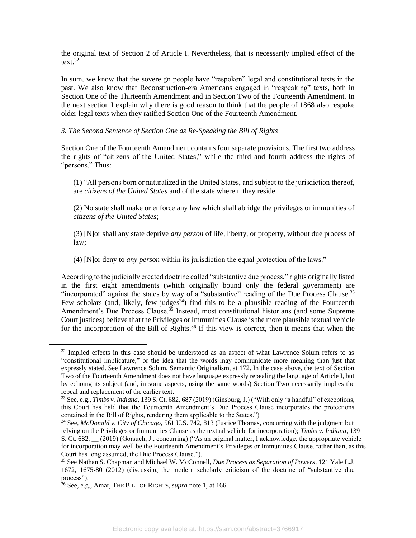the original text of Section 2 of Article I. Nevertheless, that is necessarily implied effect of the text $32$ 

 In sum, we know that the sovereign people have "respoken" legal and constitutional texts in the past. We also know that Reconstruction-era Americans engaged in "respeaking" texts, both in Section One of the Thirteenth Amendment and in Section Two of the Fourteenth Amendment. In the next section I explain why there is good reason to think that the people of 1868 also respoke older legal texts when they ratified Section One of the Fourteenth Amendment.

### *3. The Second Sentence of Section One as Re-Speaking the Bill of Rights*

 Section One of the Fourteenth Amendment contains four separate provisions. The first two address the rights of "citizens of the United States," while the third and fourth address the rights of "persons." Thus:

 (1) "All persons born or naturalized in the United States, and subject to the jurisdiction thereof, are *citizens of the United States* and of the state wherein they reside.

(2) No state shall make or enforce any law which shall abridge the privileges or immunities of *citizens of the United States*;

(3) [N]or shall any state deprive *any person* of life, liberty, or property, without due process of law;

(4) [N]or deny to *any person* within its jurisdiction the equal protection of the laws."

 According to the judicially created doctrine called "substantive due process," rights originally listed in the first eight amendments (which originally bound only the federal government) are "incorporated" against the states by way of a "substantive" reading of the Due Process Clause.<sup>33</sup> Few scholars (and, likely, few judges<sup>34</sup>) find this to be a plausible reading of the Fourteenth Amendment's Due Process Clause.<sup>35</sup> Instead, most constitutional historians (and some Supreme Court justices) believe that the Privileges or Immunities Clause is the more plausible textual vehicle for the incorporation of the Bill of Rights.<sup>36</sup> If this view is correct, then it means that when the

<sup>&</sup>lt;sup>32</sup> Implied effects in this case should be understood as an aspect of what Lawrence Solum refers to as "constitutional implicature," or the idea that the words may communicate more meaning than just that expressly stated. See Lawrence Solum, Semantic Originalism, at 172. In the case above, the text of Section Two of the Fourteenth Amendment does not have language expressly repealing the language of Article I, but by echoing its subject (and, in some aspects, using the same words) Section Two necessarily implies the repeal and replacement of the earlier text.

 33 See, e.g., *Timbs v. Indiana*, 139 S. Ct. 682, 687 (2019) (Ginsburg, J.) ("With only "a handful" of exceptions, this Court has held that the Fourteenth Amendment's Due Process Clause incorporates the protections contained in the Bill of Rights, rendering them applicable to the States.")

<sup>34</sup> See, *McDonald v. City of Chicago*, 561 U.S. 742, 813 (Justice Thomas, concurring with the judgment but relying on the Privileges or Immunities Clause as the textual vehicle for incorporation); *Timbs v. Indiana*, 139 S. Ct. 682, \_\_ (2019) (Gorsuch, J., concurring) ("As an original matter, I acknowledge, the appropriate vehicle for incorporation may well be the Fourteenth Amendment's Privileges or Immunities Clause, rather than, as this Court has long assumed, the Due Process Clause.").

 35 See Nathan S. Chapman and Michael W. McConnell, *Due Process as Separation of Powers*, 121 Yale L.J. 1672, 1675-80 (2012) (discussing the modern scholarly criticism of the doctrine of "substantive due process").

<sup>36</sup> See, e.g., Amar, THE BILL OF RIGHTS, *supra* note 1, at 166.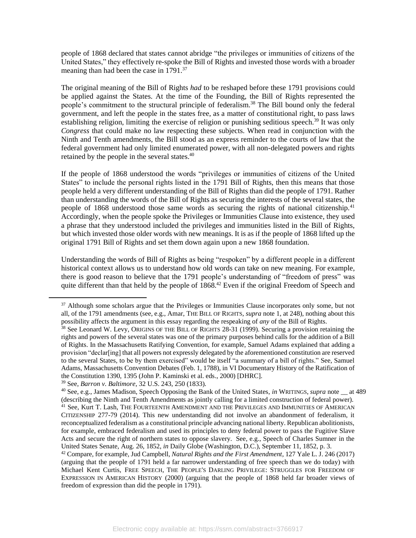people of 1868 declared that states cannot abridge "the privileges or immunities of citizens of the United States," they effectively re-spoke the Bill of Rights and invested those words with a broader meaning than had been the case in 1791.<sup>37</sup>

 The original meaning of the Bill of Rights *had* to be reshaped before these 1791 provisions could be applied against the States. At the time of the Founding, the Bill of Rights represented the people's commitment to the structural principle of federalism.<sup>38</sup> The Bill bound only the federal government, and left the people in the states free, as a matter of constitutional right, to pass laws establishing religion, limiting the exercise of religion or punishing seditious speech.<sup>39</sup> It was only *Congress* that could make no law respecting these subjects. When read in conjunction with the Ninth and Tenth amendments, the Bill stood as an express reminder to the courts of law that the federal government had only limited enumerated power, with all non-delegated powers and rights retained by the people in the several [states.40](https://states.40) 

 If the people of 1868 understood the words "privileges or immunities of citizens of the United States" to include the personal rights listed in the 1791 Bill of Rights, then this means that those people held a very different understanding of the Bill of Rights than did the people of 1791. Rather than understanding the words of the Bill of Rights as securing the interests of the several states, the people of 1868 understood those same words as securing the rights of national citizenship.<sup>41</sup> a phrase that they understood included the privileges and immunities listed in the Bill of Rights, but which invested those older words with new meanings. It is as if the people of 1868 lifted up the Accordingly, when the people spoke the Privileges or Immunities Clause into existence, they used original 1791 Bill of Rights and set them down again upon a new 1868 foundation.

 historical context allows us to understand how old words can take on new meaning. For example, there is good reason to believe that the 1791 people's understanding of "freedom of press" was quite different than that held by the people of 1868.<sup>42</sup> Even if the original Freedom of Speech and Understanding the words of Bill of Rights as being "respoken" by a different people in a different

<sup>&</sup>lt;sup>37</sup> Although some scholars argue that the Privileges or Immunities Clause incorporates only some, but not all, of the 1791 amendments (see, e.g., Amar, THE BILL OF RIGHTS, *supra* note 1, at 248), nothing about this

possibility affects the argument in this essay regarding the respeaking of *any* of the Bill of Rights.<br><sup>38</sup> See Leonard W. Levy, ORIGINS OF THE BILL OF RIGHTS 28-31 (1999). Securing a provision retaining the rights and powers of the several states was one of the primary purposes behind calls for the addition of a Bill provision "declar[ing] that all powers not expressly delegated by the aforementioned constitution are reserved to the several States, to be by them exercised" would be itself "a summary of a bill of rights." See, Samuel Adams, Massachusetts Convention Debates (Feb. 1, 1788), in VI Documentary History of the Ratification of of Rights. In the Massachusetts Ratifying Convention, for example, Samuel Adams explained that adding a the Constitution 1390, 1395 (John P. Kaminski et al. eds., 2000) [DHRC].

 CITIZENSHIP 277-79 (2014). This new understanding did not involve an abandonment of federalism, it reconceptualized federalism as a constitutional principle advancing national liberty. Republican abolitionists, for example, embraced federalism and used its principles to deny federal power to pass the Fugitive Slave Acts and secure the right of northern states to oppose slavery. See, e.g., Speech of Charles Sumner in the United States Senate, Aug. 26, 1852, *in* Daily Globe (Washington, D.C.), September 11, 1852, p. 3.<br><sup>42</sup> Compare, for example, Jud Campbell, *Natural Rights and the First Amendment*, 127 Yale L. J. 246 (2017) 39 See, *Barron v. Baltimore*, 32 U.S. 243, 250 (1833). 40 See, e.g., James Madison, Speech Opposing the Bank of the United States, *in* WRITINGS, *supra* note \_\_ at 489 (describing the Ninth and Tenth Amendments as jointly calling for a limited construction of federal power). <sup>41</sup> See, Kurt T. Lash, THE FOURTEENTH AMENDMENT AND THE PRIVILEGES AND IMMUNITIES OF AMERICAN

 (arguing that the people of 1791 held a far narrower understanding of free speech than we do today) with Michael Kent Curtis, FREE SPEECH, THE PEOPLE'S DARLING PRIVILEGE: STRUGGLES FOR FREEDOM OF EXPRESSION IN AMERICAN HISTORY (2000) (arguing that the people of 1868 held far broader views of freedom of expression than did the people in 1791).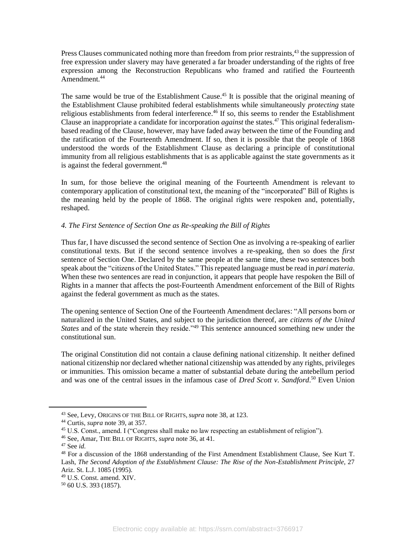Press Clauses communicated nothing more than freedom from prior restraints,<sup>43</sup> the suppression of expression among the Reconstruction Republicans who framed and ratified the Fourteenth free expression under slavery may have generated a far broader understanding of the rights of free Amendment.<sup>44</sup>

The same would be true of the Establishment Cause.<sup>45</sup> It is possible that the original meaning of the Establishment Clause prohibited federal establishments while simultaneously *protecting* state religious establishments from federal interference.<sup>46</sup> If so, this seems to render the Establishment Clause an inappropriate a candidate for incorporation *against* the [states.47](https://states.47) This original federalism- based reading of the Clause, however, may have faded away between the time of the Founding and the ratification of the Fourteenth Amendment. If so, then it is possible that the people of 1868 understood the words of the Establishment Clause as declaring a principle of constitutional immunity from all religious establishments that is as applicable against the state governments as it is against the federal [government.](https://government.48)<sup>48</sup>

 In sum, for those believe the original meaning of the Fourteenth Amendment is relevant to contemporary application of constitutional text, the meaning of the "incorporated" Bill of Rights is the meaning held by the people of 1868. The original rights were respoken and, potentially, reshaped.

# *4. The First Sentence of Section One as Re-speaking the Bill of Rights*

 Thus far, I have discussed the second sentence of Section One as involving a re-speaking of earlier constitutional texts. But if the second sentence involves a re-speaking, then so does the *first*  sentence of Section One. Declared by the same people at the same time, these two sentences both speak about the "citizens of the United States." This repeated language must be read in *pari materia*. Rights in a manner that affects the post-Fourteenth Amendment enforcement of the Bill of Rights When these two sentences are read in conjunction, it appears that people have respoken the Bill of against the federal government as much as the states.

 The opening sentence of Section One of the Fourteenth Amendment declares: "All persons born or naturalized in the United States, and subject to the jurisdiction thereof, are *citizens of the United States* and of the state wherein they reside."<sup>49</sup> This sentence announced something new under the constitutional sun.

 The original Constitution did not contain a clause defining national citizenship. It neither defined or immunities. This omission became a matter of substantial debate during the antebellum period and was one of the central issues in the infamous case of *Dred Scott v. [Sandford](https://Sandford.50)*. 50 Even Union national citizenship nor declared whether national citizenship was attended by any rights, privileges

<sup>&</sup>lt;sup>43</sup> See, Levy, ORIGINS OF THE BILL OF RIGHTS, *supra* note 38, at 123.<br><sup>44</sup> Curtis, *supra* note 39, at 357. 45 U.S. Const., amend. I ("Congress shall make no law respecting an establishment of religion").

<sup>&</sup>lt;sup>46</sup> See, Amar, THE BILL OF RIGHTS, *supra* note 36, at 41.<br><sup>47</sup> See *id*. 48 For a discussion of the 1868 understanding of the First Amendment Establishment Clause, See Kurt T.  Lash, *The Second Adoption of the Establishment Clause: The Rise of the Non-Establishment Principle*, 27 Ariz. St. L.J. 1085 (1995).

 $^{49}$  U.S. Const. amend. XIV.<br> $^{50}$  60 U.S. 393 (1857).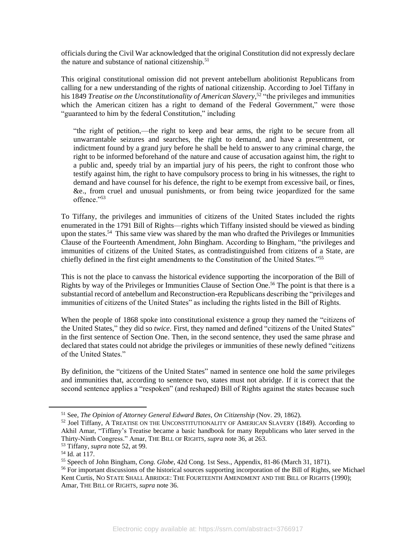officials during the Civil War acknowledged that the original Constitution did not expressly declare the nature and substance of national citizenship.<sup>51</sup>

 This original constitutional omission did not prevent antebellum abolitionist Republicans from calling for a new understanding of the rights of national citizenship. According to Joel Tiffany in  his 1849 *Treatise on the Unconstitutionality of American Slavery,*52 "the privileges and immunities which the American citizen has a right to demand of the Federal Government," were those "guaranteed to him by the federal Constitution," including

 "the right of petition,—the right to keep and bear arms, the right to be secure from all unwarrantable seizures and searches, the right to demand, and have a presentment, or a public and, speedy trial by an impartial jury of his peers, the right to confront those who testify against him, the right to have compulsory process to bring in his witnesses, the right to &e., from cruel and unusual punishments, or from being twice jeopardized for the same indictment found by a grand jury before he shall be held to answer to any criminal charge, the right to be informed beforehand of the nature and cause of accusation against him, the right to demand and have counsel for his defence, the right to be exempt from excessive bail, or fines, offence."53

 To Tiffany, the privileges and immunities of citizens of the United States included the rights upon the [states.](https://states.54)<sup>54</sup> This same view was shared by the man who drafted the Privileges or Immunities Clause of the Fourteenth Amendment, John Bingham. According to Bingham, "the privileges and immunities of citizens of the United States, as contradistinguished from citizens of a State, are enumerated in the 1791 Bill of Rights—rights which Tiffany insisted should be viewed as binding chiefly defined in the first eight amendments to the Constitution of the United States."55

 This is not the place to canvass the historical evidence supporting the incorporation of the Bill of Rights by way of the Privileges or Immunities Clause of Section One.<sup>56</sup> The point is that there is a substantial record of antebellum and Reconstruction-era Republicans describing the "privileges and immunities of citizens of the United States" as including the rights listed in the Bill of Rights.

 When the people of 1868 spoke into constitutional existence a group they named the "citizens of in the first sentence of Section One. Then, in the second sentence, they used the same phrase and the United States," they did so *twice*. First, they named and defined "citizens of the United States" declared that states could not abridge the privileges or immunities of these newly defined "citizens of the United States."

 By definition, the "citizens of the United States" named in sentence one hold the *same* privileges and immunities that, according to sentence two, states must not abridge. If it is correct that the second sentence applies a "respoken" (and reshaped) Bill of Rights against the states because such

<sup>&</sup>lt;sup>51</sup> See, *The Opinion of Attorney General Edward Bates, On Citizenship (Nov. 29, 1862).*<br><sup>52</sup> Joel Tiffany, A TREATISE ON THE UNCONSTITUTIONALITY OF AMERICAN SLAVERY (1849). According to Akhil Amar, "Tiffany's Treatise became a basic handbook for many Republicans who later served in the Thirty-Ninth Congress." Amar, THE BILL OF RIGHTS, *supra* note 36, at 263.<br><sup>53</sup> Tiffany, *supra* note 52, at 99.<br><sup>54</sup> Id. at 117.<br><sup>55</sup> Speech of John Bingham, *Cong. Globe*, 42d Cong. 1st Sess., Appendix, 81-86 (March 31,

Kent Curtis, NO STATE SHALL ABRIDGE: THE FOURTEENTH AMENDMENT AND THE BILL OF RIGHTS (1990); Amar, THE BILL OF RIGHTS, *supra* note 36.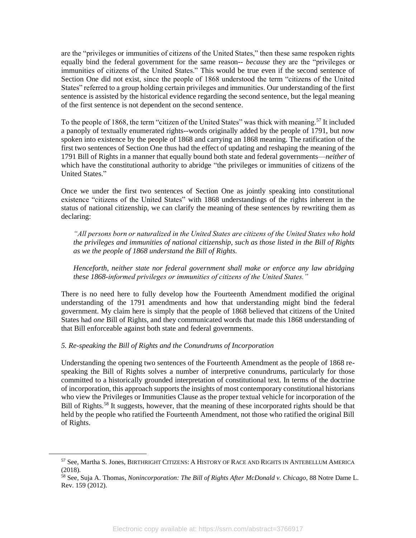equally bind the federal government for the same reason-- *because* they are the "privileges or immunities of citizens of the United States." This would be true even if the second sentence of Section One did not exist, since the people of 1868 understood the term "citizens of the United States" referred to a group holding certain privileges and immunities. Our understanding of the first sentence is assisted by the historical evidence regarding the second sentence, but the legal meaning are the "privileges or immunities of citizens of the United States," then these same respoken rights of the first sentence is not dependent on the second sentence.

To the people of 1868, the term "citizen of the United States" was thick with meaning.<sup>57</sup> It included a panoply of textually enumerated rights--words originally added by the people of 1791, but now first two sentences of Section One thus had the effect of updating and reshaping the meaning of the 1791 Bill of Rights in a manner that equally bound both state and federal governments—*neither* of which have the constitutional authority to abridge "the privileges or immunities of citizens of the spoken into existence by the people of 1868 and carrying an 1868 meaning. The ratification of the United States."

 Once we under the first two sentences of Section One as jointly speaking into constitutional existence "citizens of the United States" with 1868 understandings of the rights inherent in the status of national citizenship, we can clarify the meaning of these sentences by rewriting them as declaring:

 *"All persons born or naturalized in the United States are citizens of the United States who hold the privileges and immunities of national citizenship, such as those listed in the Bill of Rights as we the people of 1868 understand the Bill of Rights.* 

 *Henceforth, neither state nor federal government shall make or enforce any law abridging these 1868-informed privileges or immunities of citizens of the United States."*

 There is no need here to fully develop how the Fourteenth Amendment modified the original understanding of the 1791 amendments and how that understanding might bind the federal government. My claim here is simply that the people of 1868 believed that citizens of the United States had *one* Bill of Rights, and they communicated words that made this 1868 understanding of that Bill enforceable against both state and federal governments.

### *5. Re-speaking the Bill of Rights and the Conundrums of Incorporation*

 speaking the Bill of Rights solves a number of interpretive conundrums, particularly for those committed to a historically grounded interpretation of constitutional text. In terms of the doctrine of incorporation, this approach supports the insights of most contemporary constitutional historians who view the Privileges or Immunities Clause as the proper textual vehicle for incorporation of the Bill of Rights.<sup>58</sup> It suggests, however, that the meaning of these incorporated rights should be that held by the people who ratified the Fourteenth Amendment, not those who ratified the original Bill Understanding the opening two sentences of the Fourteenth Amendment as the people of 1868 reof Rights.

<sup>57</sup> See, Martha S. Jones, BIRTHRIGHT CITIZENS: A HISTORY OF RACE AND RIGHTS IN ANTEBELLUM AMERICA (2018).

<sup>58</sup> See, Suja A. Thomas, *Nonincorporation: The Bill of Rights After McDonald v. Chicago*, 88 Notre Dame L. Rev. 159 (2012).